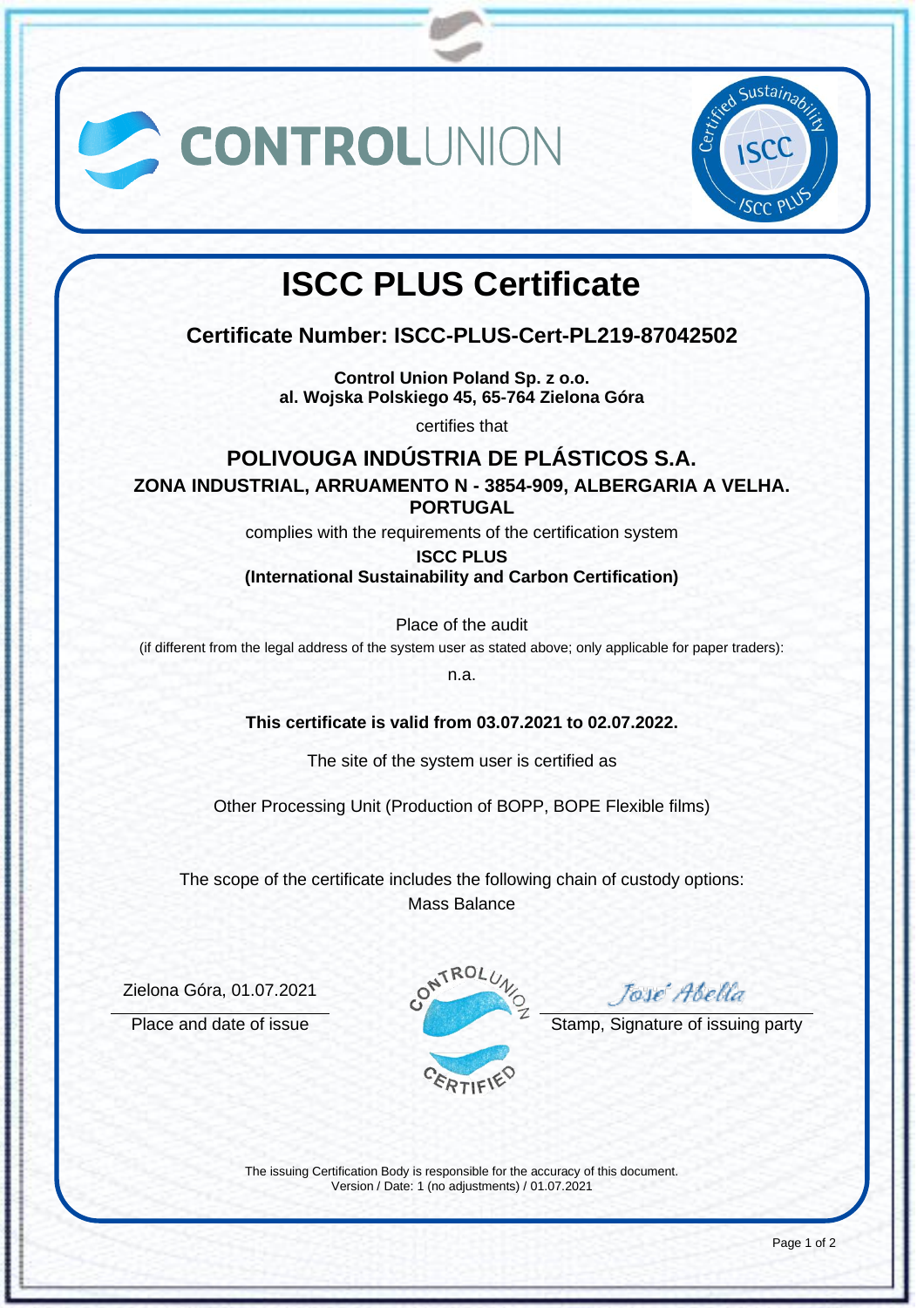



# **ISCC PLUS Certificate**

**Certificate Number: ISCC-PLUS-Cert-PL219-87042502**

**Control Union Poland Sp. z o.o. al. Wojska Polskiego 45, 65-764 Zielona Góra**

certifies that

## **POLIVOUGA INDÚSTRIA DE PLÁSTICOS S.A.**

**ZONA INDUSTRIAL, ARRUAMENTO N - 3854-909, ALBERGARIA A VELHA. PORTUGAL**

complies with the requirements of the certification system

**ISCC PLUS**

#### **(International Sustainability and Carbon Certification)**

Place of the audit

(if different from the legal address of the system user as stated above; only applicable for paper traders):

n.a.

**This certificate is valid from 03.07.2021 to 02.07.2022.**

The site of the system user is certified as

Other Processing Unit (Production of BOPP, BOPE Flexible films)

The scope of the certificate includes the following chain of custody options: Mass Balance

Zielona Góra, 01.07.2021



José Abella

Place and date of issue Stamp, Signature of issuing party

The issuing Certification Body is responsible for the accuracy of this document. Version / Date: 1 (no adjustments) / 01.07.2021